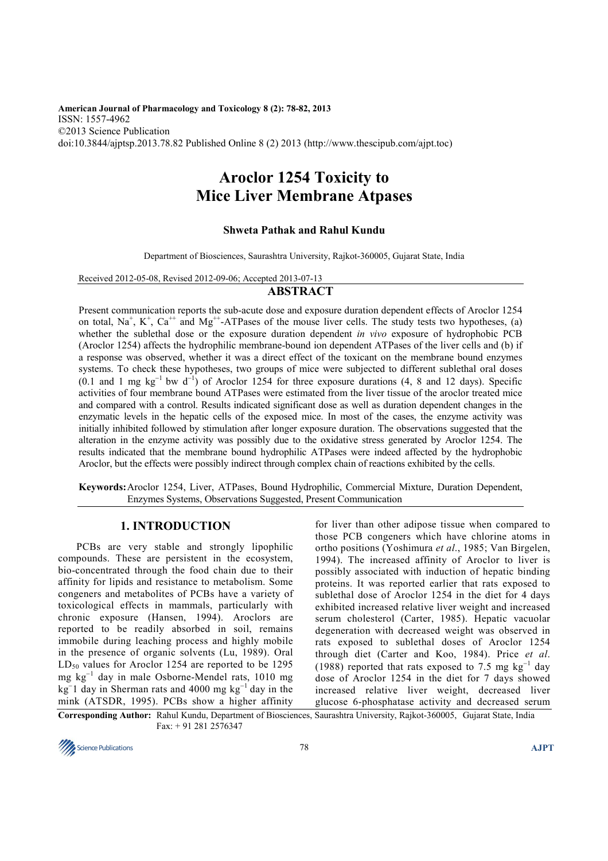**American Journal of Pharmacology and Toxicology 8 (2): 78-82, 2013**  ISSN: 1557-4962 ©2013 Science Publication doi:10.3844/ajptsp.2013.78.82 Published Online 8 (2) 2013 (http://www.thescipub.com/ajpt.toc)

# **Aroclor 1254 Toxicity to Mice Liver Membrane Atpases**

## **Shweta Pathak and Rahul Kundu**

Department of Biosciences, Saurashtra University, Rajkot-360005, Gujarat State, India

Received 2012-05-08, Revised 2012-09-06; Accepted 2013-07-13

# **ABSTRACT**

Present communication reports the sub-acute dose and exposure duration dependent effects of Aroclor 1254 on total,  $Na^+$ ,  $K^+$ ,  $Ca^{++}$  and  $Mg^{++}$ -ATPases of the mouse liver cells. The study tests two hypotheses, (a) whether the sublethal dose or the exposure duration dependent *in vivo* exposure of hydrophobic PCB (Aroclor 1254) affects the hydrophilic membrane-bound ion dependent ATPases of the liver cells and (b) if a response was observed, whether it was a direct effect of the toxicant on the membrane bound enzymes systems. To check these hypotheses, two groups of mice were subjected to different sublethal oral doses (0.1 and 1 mg kg<sup>-1</sup> bw d<sup>-1</sup>) of Aroclor 1254 for three exposure durations (4, 8 and 12 days). Specific activities of four membrane bound ATPases were estimated from the liver tissue of the aroclor treated mice and compared with a control. Results indicated significant dose as well as duration dependent changes in the enzymatic levels in the hepatic cells of the exposed mice. In most of the cases, the enzyme activity was initially inhibited followed by stimulation after longer exposure duration. The observations suggested that the alteration in the enzyme activity was possibly due to the oxidative stress generated by Aroclor 1254. The results indicated that the membrane bound hydrophilic ATPases were indeed affected by the hydrophobic Aroclor, but the effects were possibly indirect through complex chain of reactions exhibited by the cells.

**Keywords:** Aroclor 1254, Liver, ATPases, Bound Hydrophilic, Commercial Mixture, Duration Dependent, Enzymes Systems, Observations Suggested, Present Communication

# **1. INTRODUCTION**

 PCBs are very stable and strongly lipophilic compounds. These are persistent in the ecosystem, bio-concentrated through the food chain due to their affinity for lipids and resistance to metabolism. Some congeners and metabolites of PCBs have a variety of toxicological effects in mammals, particularly with chronic exposure (Hansen, 1994). Aroclors are reported to be readily absorbed in soil, remains immobile during leaching process and highly mobile in the presence of organic solvents (Lu, 1989). Oral  $LD_{50}$  values for Aroclor 1254 are reported to be 1295 mg kg<sup>−</sup><sup>1</sup> day in male Osborne-Mendel rats, 1010 mg  $kg^{-1}$  day in Sherman rats and 4000 mg kg<sup>-1</sup> day in the mink (ATSDR, 1995). PCBs show a higher affinity

for liver than other adipose tissue when compared to those PCB congeners which have chlorine atoms in ortho positions (Yoshimura *et al*., 1985; Van Birgelen, 1994). The increased affinity of Aroclor to liver is possibly associated with induction of hepatic binding proteins. It was reported earlier that rats exposed to sublethal dose of Aroclor 1254 in the diet for 4 days exhibited increased relative liver weight and increased serum cholesterol (Carter, 1985). Hepatic vacuolar degeneration with decreased weight was observed in rats exposed to sublethal doses of Aroclor 1254 through diet (Carter and Koo, 1984). Price *et al*. (1988) reported that rats exposed to 7.5 mg  $kg^{-1}$  day dose of Aroclor 1254 in the diet for 7 days showed increased relative liver weight, decreased liver glucose 6-phosphatase activity and decreased serum

**Corresponding Author:** Rahul Kundu, Department of Biosciences, Saurashtra University, Rajkot-360005, Gujarat State, India Fax: + 91 281 2576347

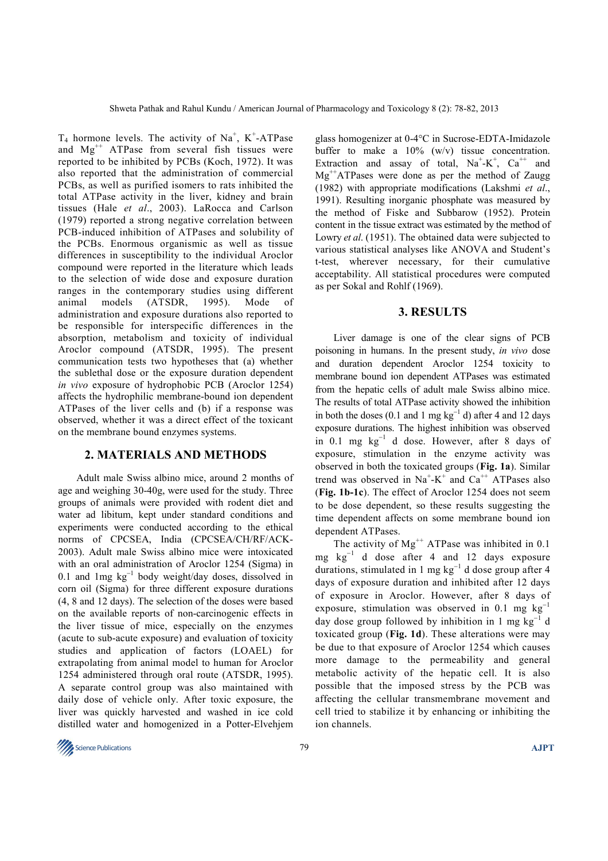$T_4$  hormone levels. The activity of Na<sup>+</sup>, K<sup>+</sup>-ATPase and  $Mg^{++}$  ATPase from several fish tissues were reported to be inhibited by PCBs (Koch, 1972). It was also reported that the administration of commercial PCBs, as well as purified isomers to rats inhibited the total ATPase activity in the liver, kidney and brain tissues (Hale *et al*., 2003). LaRocca and Carlson (1979) reported a strong negative correlation between PCB-induced inhibition of ATPases and solubility of the PCBs. Enormous organismic as well as tissue differences in susceptibility to the individual Aroclor compound were reported in the literature which leads to the selection of wide dose and exposure duration ranges in the contemporary studies using different animal models (ATSDR, 1995). Mode of administration and exposure durations also reported to be responsible for interspecific differences in the absorption, metabolism and toxicity of individual Aroclor compound (ATSDR, 1995). The present communication tests two hypotheses that (a) whether the sublethal dose or the exposure duration dependent *in vivo* exposure of hydrophobic PCB (Aroclor 1254) affects the hydrophilic membrane-bound ion dependent ATPases of the liver cells and (b) if a response was observed, whether it was a direct effect of the toxicant on the membrane bound enzymes systems.

#### **2. MATERIALS AND METHODS**

 Adult male Swiss albino mice, around 2 months of age and weighing 30-40g, were used for the study. Three groups of animals were provided with rodent diet and water ad libitum, kept under standard conditions and experiments were conducted according to the ethical norms of CPCSEA, India (CPCSEA/CH/RF/ACK-2003). Adult male Swiss albino mice were intoxicated with an oral administration of Aroclor 1254 (Sigma) in 0.1 and 1mg kg<sup>−</sup><sup>1</sup> body weight/day doses, dissolved in corn oil (Sigma) for three different exposure durations (4, 8 and 12 days). The selection of the doses were based on the available reports of non-carcinogenic effects in the liver tissue of mice, especially on the enzymes (acute to sub-acute exposure) and evaluation of toxicity studies and application of factors (LOAEL) for extrapolating from animal model to human for Aroclor 1254 administered through oral route (ATSDR, 1995). A separate control group was also maintained with daily dose of vehicle only. After toxic exposure, the liver was quickly harvested and washed in ice cold distilled water and homogenized in a Potter-Elvehjem

glass homogenizer at 0-4°C in Sucrose-EDTA-Imidazole buffer to make a 10% (w/v) tissue concentration. Extraction and assay of total,  $Na^+ - K^+$ ,  $Ca^{++}$  and  $Mg^{++}ATPases$  were done as per the method of Zaugg (1982) with appropriate modifications (Lakshmi *et al*., 1991). Resulting inorganic phosphate was measured by the method of Fiske and Subbarow (1952). Protein content in the tissue extract was estimated by the method of Lowry *et al*. (1951). The obtained data were subjected to various statistical analyses like ANOVA and Student's t-test, wherever necessary, for their cumulative acceptability. All statistical procedures were computed as per Sokal and Rohlf (1969).

#### **3. RESULTS**

 Liver damage is one of the clear signs of PCB poisoning in humans. In the present study, *in vivo* dose and duration dependent Aroclor 1254 toxicity to membrane bound ion dependent ATPases was estimated from the hepatic cells of adult male Swiss albino mice. The results of total ATPase activity showed the inhibition in both the doses (0.1 and 1 mg  $kg^{-1}$  d) after 4 and 12 days exposure durations. The highest inhibition was observed in 0.1 mg kg<sup>−</sup><sup>1</sup> d dose. However, after 8 days of exposure, stimulation in the enzyme activity was observed in both the toxicated groups (**Fig. 1a**). Similar trend was observed in  $Na^+ - K^+$  and  $Ca^{++}$  ATPases also (**Fig. 1b-1c**). The effect of Aroclor 1254 does not seem to be dose dependent, so these results suggesting the time dependent affects on some membrane bound ion dependent ATPases.

The activity of  $Mg^{++}$  ATPase was inhibited in 0.1 mg kg<sup>−</sup><sup>1</sup> d dose after 4 and 12 days exposure durations, stimulated in 1 mg kg<sup>−</sup><sup>1</sup> d dose group after 4 days of exposure duration and inhibited after 12 days of exposure in Aroclor. However, after 8 days of exposure, stimulation was observed in 0.1 mg  $kg^{-1}$ day dose group followed by inhibition in 1 mg kg<sup>-1</sup> d toxicated group (**Fig. 1d**). These alterations were may be due to that exposure of Aroclor 1254 which causes more damage to the permeability and general metabolic activity of the hepatic cell. It is also possible that the imposed stress by the PCB was affecting the cellular transmembrane movement and cell tried to stabilize it by enhancing or inhibiting the ion channels.

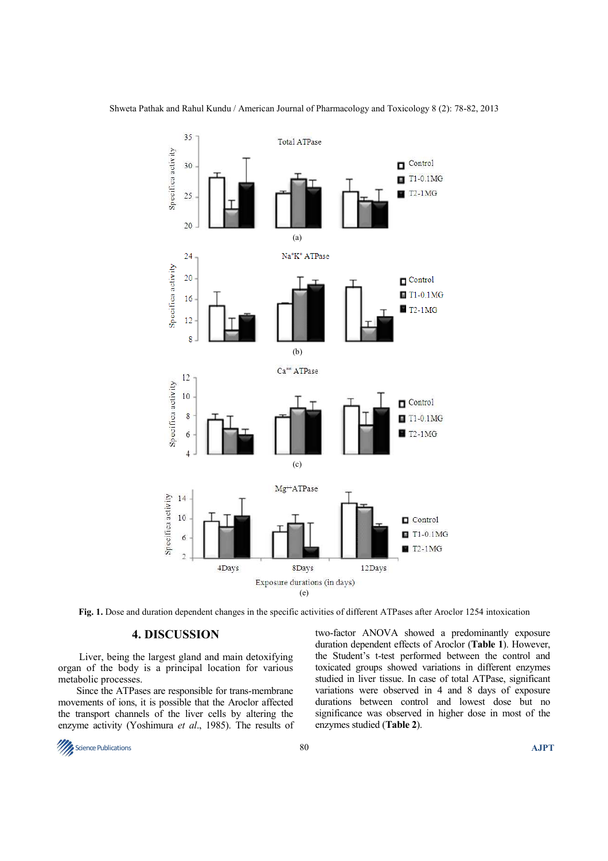

**Fig. 1.** Dose and duration dependent changes in the specific activities of different ATPases after Aroclor 1254 intoxication

### **4. DISCUSSION**

 Liver, being the largest gland and main detoxifying organ of the body is a principal location for various metabolic processes.

 Since the ATPases are responsible for trans-membrane movements of ions, it is possible that the Aroclor affected the transport channels of the liver cells by altering the enzyme activity (Yoshimura *et al*., 1985). The results of two-factor ANOVA showed a predominantly exposure duration dependent effects of Aroclor (**Table 1**). However, the Student's t-test performed between the control and toxicated groups showed variations in different enzymes studied in liver tissue. In case of total ATPase, significant variations were observed in 4 and 8 days of exposure durations between control and lowest dose but no significance was observed in higher dose in most of the enzymes studied (**Table 2**).

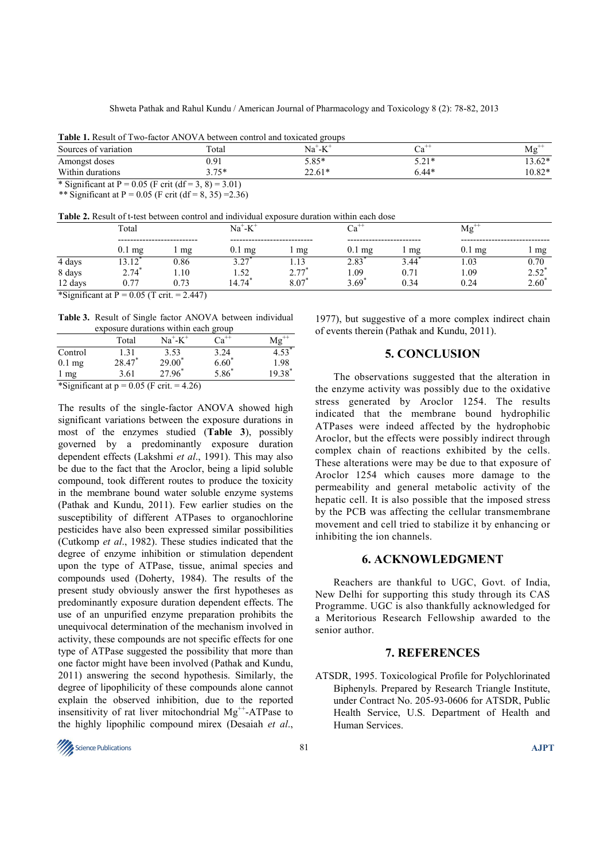|  |  |  |  |  | Table 1. Result of Two-factor ANOVA between control and toxicated groups |  |  |  |  |
|--|--|--|--|--|--------------------------------------------------------------------------|--|--|--|--|
|--|--|--|--|--|--------------------------------------------------------------------------|--|--|--|--|

| Sources of variation                                  | Total   | $L^+$<br>Na \<br>-17 | Cа      | $Mg^{\ddag}$ |
|-------------------------------------------------------|---------|----------------------|---------|--------------|
| Amongst doses                                         | ).91    | 5.85*                | $5.71*$ | $13.62*$     |
| Within durations                                      | $3.75*$ | 22.61*               | $6.44*$ | 10.82*       |
| * Significant at P = 0.05 (F crit (df = 3, 8) = 3.01) |         |                      |         |              |

\*\* Significant at P =  $0.05$  (F crit (df = 8, 35) = 2.36)

**Table 2.** Result of t-test between control and individual exposure duration within each dose

| <b>Table 2.</b> Result of Clear between control and marviagal exposure adjactor within each dose |                                                                                                                                                                                                                                                                                                                               |      |          |                   |                  |      |                  |                |
|--------------------------------------------------------------------------------------------------|-------------------------------------------------------------------------------------------------------------------------------------------------------------------------------------------------------------------------------------------------------------------------------------------------------------------------------|------|----------|-------------------|------------------|------|------------------|----------------|
|                                                                                                  | Total                                                                                                                                                                                                                                                                                                                         |      | $Na+-K+$ |                   |                  |      | Mg               |                |
|                                                                                                  |                                                                                                                                                                                                                                                                                                                               |      |          |                   |                  |      |                  |                |
|                                                                                                  | $0.1 \text{ mg}$                                                                                                                                                                                                                                                                                                              | mg   | mg       | mg                | $0.1 \text{ mg}$ | mg   | $0.1 \text{ mg}$ | 1 mg           |
| 4 days                                                                                           |                                                                                                                                                                                                                                                                                                                               | 0.86 | ຳ        |                   | 2.83             | 3.44 | 0.03             | 0.70           |
| 8 days                                                                                           | $2.74^{\degree}$                                                                                                                                                                                                                                                                                                              | .10  | .52      | 2 77              | .09              |      | . 09             | $2.52^*$       |
| 12 days                                                                                          | 0.77                                                                                                                                                                                                                                                                                                                          | 0.73 | 14.74    | $8.07^{^{\circ}}$ | 3.69             | 0.34 | 0.24             | $2.60^{\circ}$ |
|                                                                                                  | $*$ C $\mathbb{C}$ $\mathbb{C}$ $\mathbb{C}$ $\mathbb{C}$ $\mathbb{D}$ $\mathbb{C}$ $\mathbb{C}$ $\mathbb{C}$ $\mathbb{C}$ $\mathbb{C}$ $\mathbb{C}$ $\mathbb{C}$ $\mathbb{C}$ $\mathbb{C}$ $\mathbb{C}$ $\mathbb{C}$ $\mathbb{C}$ $\mathbb{C}$ $\mathbb{C}$ $\mathbb{C}$ $\mathbb{C}$ $\mathbb{C}$ $\mathbb{C}$ $\mathbb{C}$ |      |          |                   |                  |      |                  |                |

\*Significant at  $P = 0.05$  (T crit. = 2.447)

**Table 3.** Result of Single factor ANOVA between individual exposure durations within each group

|                | Total  | $Na^+$ - $K^+$ | $Ca++$  | $Mg^+$ |
|----------------|--------|----------------|---------|--------|
| Control        | 1.31   | 3.53           | 3.24    |        |
| $0.1$ mg       | 28.47* | $29.00*$       | $6.60*$ | 1.98   |
| $1 \text{ mg}$ | 3.61   | 2796           | 5.86    | 19.38  |
|                |        |                |         |        |

\*Significant at  $p = 0.05$  (F crit. = 4.26)

The results of the single-factor ANOVA showed high significant variations between the exposure durations in most of the enzymes studied (**Table 3**), possibly governed by a predominantly exposure duration dependent effects (Lakshmi *et al*., 1991). This may also be due to the fact that the Aroclor, being a lipid soluble compound, took different routes to produce the toxicity in the membrane bound water soluble enzyme systems (Pathak and Kundu, 2011). Few earlier studies on the susceptibility of different ATPases to organochlorine pesticides have also been expressed similar possibilities (Cutkomp *et al*., 1982). These studies indicated that the degree of enzyme inhibition or stimulation dependent upon the type of ATPase, tissue, animal species and compounds used (Doherty, 1984). The results of the present study obviously answer the first hypotheses as predominantly exposure duration dependent effects. The use of an unpurified enzyme preparation prohibits the unequivocal determination of the mechanism involved in activity, these compounds are not specific effects for one type of ATPase suggested the possibility that more than one factor might have been involved (Pathak and Kundu, 2011) answering the second hypothesis. Similarly, the degree of lipophilicity of these compounds alone cannot explain the observed inhibition, due to the reported insensitivity of rat liver mitochondrial  $Mg^{++}$ -ATPase to the highly lipophilic compound mirex (Desaiah *et al*.,



1977), but suggestive of a more complex indirect chain of events therein (Pathak and Kundu, 2011).

## **5. CONCLUSION**

 The observations suggested that the alteration in the enzyme activity was possibly due to the oxidative stress generated by Aroclor 1254. The results indicated that the membrane bound hydrophilic ATPases were indeed affected by the hydrophobic Aroclor, but the effects were possibly indirect through complex chain of reactions exhibited by the cells. These alterations were may be due to that exposure of Aroclor 1254 which causes more damage to the permeability and general metabolic activity of the hepatic cell. It is also possible that the imposed stress by the PCB was affecting the cellular transmembrane movement and cell tried to stabilize it by enhancing or inhibiting the ion channels.

#### **6. ACKNOWLEDGMENT**

 Reachers are thankful to UGC, Govt. of India, New Delhi for supporting this study through its CAS Programme. UGC is also thankfully acknowledged for a Meritorious Research Fellowship awarded to the senior author.

#### **7. REFERENCES**

ATSDR, 1995. Toxicological Profile for Polychlorinated Biphenyls. Prepared by Research Triangle Institute, under Contract No. 205-93-0606 for ATSDR, Public Health Service, U.S. Department of Health and Human Services.